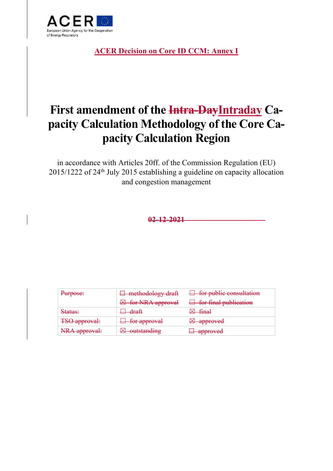

**ACER Decision on Core ID CCM: Annex I**

# **First amendment of the Intra-DayIntraday Capacity Calculation Methodology of the Core Capacity Calculation Region**

in accordance with Articles 20ff. of the Commission Regulation (EU) 2015/1222 of 24th July 2015 establishing a guideline on capacity allocation and congestion management

**02-12-2021** 

| Purpose:             | $\Box$ methodology draft  | $\Box$ for public consultation |
|----------------------|---------------------------|--------------------------------|
|                      | <b>E</b> for NRA approval | $\Box$ for final publication   |
| Status:              | $\rm -draff$              | ⊠–final                        |
| <b>TSO</b> approval: | $\Box$ for approval       | <b>E</b> approved              |
| NRA approval:        | $\boxtimes$ outstanding   | $\Box$ approved                |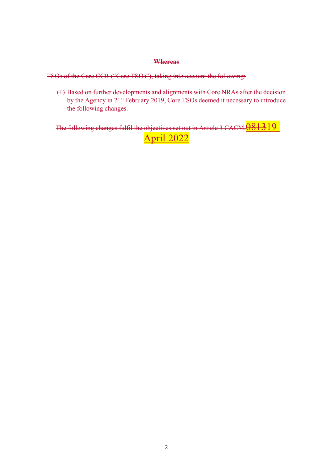### **Whereas**

TSOs of the Core CCR ("Core TSOs"), taking into account the following:

(1) Based on further developments and alignments with Core NRAs after the decision by the Agency in 21<sup>st</sup> February 2019, Core TSOs deemed it necessary to introduce the following changes.

The following changes fulfil the objectives set out in Article 3 CACM. **081319** April 2022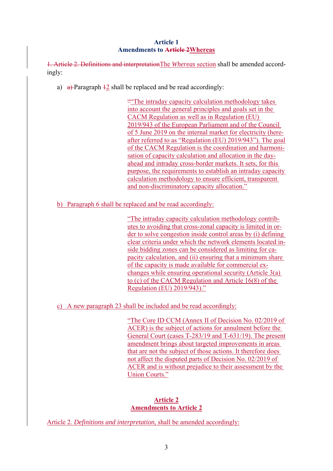## **Article 1 Amendments to Article 2Whereas**

1. Article 2. Definitions and interpretationThe *Whereas* section shall be amended accordingly:

a)  $\theta$  Paragraph 42 shall be replaced and be read accordingly:

""The intraday capacity calculation methodology takes into account the general principles and goals set in the CACM Regulation as well as in Regulation (EU) 2019/943 of the European Parliament and of the Council of 5 June 2019 on the internal market for electricity (hereafter referred to as "Regulation (EU) 2019/943"). The goal of the CACM Regulation is the coordination and harmonisation of capacity calculation and allocation in the dayahead and intraday cross-border markets. It sets, for this purpose, the requirements to establish an intraday capacity calculation methodology to ensure efficient, transparent and non-discriminatory capacity allocation."

b) Paragraph 6 shall be replaced and be read accordingly:

"The intraday capacity calculation methodology contributes to avoiding that cross-zonal capacity is limited in order to solve congestion inside control areas by (i) defining clear criteria under which the network elements located inside bidding zones can be considered as limiting for capacity calculation, and (ii) ensuring that a minimum share of the capacity is made available for commercial exchanges while ensuring operational security (Article 3(a) to (c) of the CACM Regulation and Article 16(8) of the Regulation (EU) 2019/943)."

c) A new paragraph 23 shall be included and be read accordingly:

"The Core ID CCM (Annex II of Decision No. 02/2019 of ACER) is the subject of actions for annulment before the General Court (cases T-283/19 and T-631/19). The present amendment brings about targeted improvements in areas that are not the subject of those actions. It therefore does not affect the disputed parts of Decision No. 02/2019 of ACER and is without prejudice to their assessment by the Union Courts."

# **Article 2 Amendments to Article 2**

Article 2. *Definitions and interpretation*, shall be amended accordingly: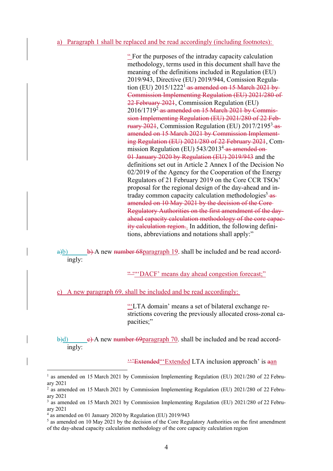#### a) Paragraph 1 shall be replaced and be read accordingly (including footnotes):

" For the purposes of the intraday capacity calculation methodology, terms used in this document shall have the meaning of the definitions included in Regulation (EU) 2019/943, Directive (EU) 2019/944, Comission Regulation (EU) 2015/1222<sup>1</sup> as amended on 15 March 2021 by Commission Implementing Regulation (EU) 2021/280 of 22 February 2021, Commission Regulation (EU) 2016/1719<sup>2</sup> as amended on 15 March 2021 by Commission Implementing Regulation (EU) 2021/280 of 22 February 2021, Commission Regulation (EU) 2017/2195<sup>3</sup>-asamended on 15 March 2021 by Commission Implementing Regulation (EU) 2021/280 of 22 February 2021, Commission Regulation (EU) 543/2013<sup>4</sup> as amended on 01 January 2020 by Regulation (EU) 2019/943 and the definitions set out in Article 2 Annex I of the Decision No 02/2019 of the Agency for the Cooperation of the Energy Regulators of 21 February 2019 on the Core CCR TSOs' proposal for the regional design of the day-ahead and intraday common capacity calculation methodologies<sup>5</sup>-asamended on 10 May 2021 by the decision of the Core Regulatory Authorities on the first amendment of the dayahead capacity calculation methodology of the core capacity calculation region... In addition, the following definitions, abbreviations and notations shall apply:"

 $\alpha$ b) b) A new number 68 paragraph 19. shall be included and be read accordingly:

" ""DACF' means day ahead congestion forecast:"

c) A new paragraph 69. shall be included and be read accordingly:

"'LTA domain' means a set of bilateral exchange restrictions covering the previously allocated cross-zonal capacities;"

b)d) e) a new number 69 paragraph 70. shall be included and be read accordingly:

"Extended"'Extended LTA inclusion approach' is aan

1

<sup>&</sup>lt;sup>1</sup> as amended on 15 March 2021 by Commission Implementing Regulation (EU) 2021/280 of 22 February 2021

<sup>&</sup>lt;sup>2</sup> as amended on 15 March 2021 by Commission Implementing Regulation (EU) 2021/280 of 22 February 2021

<sup>&</sup>lt;sup>3</sup> as amended on 15 March 2021 by Commission Implementing Regulation (EU) 2021/280 of 22 February 2021

<sup>4</sup> as amended on 01 January 2020 by Regulation (EU) 2019/943

<sup>&</sup>lt;sup>5</sup> as amended on 10 May 2021 by the decision of the Core Regulatory Authorities on the first amendment of the day-ahead capacity calculation methodology of the core capacity calculation region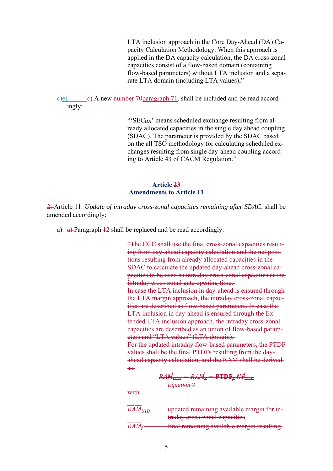LTA inclusion approach in the Core Day-Ahead (DA) Capacity Calculation Methodology. When this approach is applied in the DA capacity calculation, the DA cross-zonal capacities consist of a flow-based domain (containing flow-based parameters) without LTA inclusion and a separate LTA domain (including LTA values);"

 $\epsilon$ )e) e) A new number 70 paragraph 71. shall be included and be read accordingly:

> "SEC<sub>DA</sub>' means scheduled exchange resulting from already allocated capacities in the single day ahead coupling (SDAC). The parameter is provided by the SDAC based on the all TSO methodology for calculating scheduled exchanges resulting from single day-ahead coupling according to Article 43 of CACM Regulation."

#### **Article 23 Amendments to Article 11**

2. Article 11. *Update of intraday cross-zonal capacities remaining after SDAC*, shall be amended accordingly:

a) a) Paragraph  $\frac{12}{2}$  shall be replaced and be read accordingly:

"The CCC shall use the final cross-zonal capacities resulting from day-ahead capacity calculation and the net positions resulting from already allocated capacities in the SDAC to calculate the updated day-ahead cross-zonal capacities to be used as intraday cross-zonal capacities at the intraday cross-zonal gate opening time. In case the LTA inclusion in day-ahead is ensured through the LTA margin approach, the intraday cross-zonal capacities are described as flow-based parameters. In case the LTA inclusion in day-ahead is ensured through the Extended LTA inclusion approach, the intraday cross-zonal capacities are described as an union of flow-based parameters and "LTA values" (LTA domain).

For the updated intraday flow-based parameters, the PTDF values shall be the final PTDFs resulting from the dayahead capacity calculation, and the RAM shall be derived as:

$$
\overrightarrow{RAM}_{\text{GHD}} = \overrightarrow{RAM}_{f} - \text{PTDF}_{f} \ \overrightarrow{NP}_{\text{AAG}} \\
\text{Equation 3}
$$

with

| $D \wedge M$ | updated remaining available margin for in- |
|--------------|--------------------------------------------|
| 87117711111  |                                            |
|              | traday cross-zonal capacities              |
| <b>RAM</b>   | final remaining available margin resulting |
|              |                                            |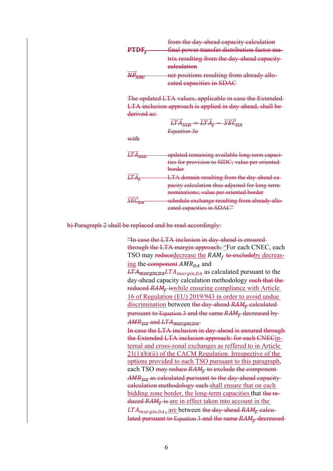|             | from the day-ahead capacity calculation                                |
|-------------|------------------------------------------------------------------------|
| <b>PTDF</b> | final power transfer distribution factor ma-                           |
|             | trix resulting from the day-ahead capacity<br>ealculation              |
|             | net positions resulting from already allo-<br>cated capacities in SDAC |

The updated LTA values, applicable in case the Extended LTA inclusion approach is applied in day-ahead, shall be derived as:

$$
\overrightarrow{LTA_{\text{GHB}}} = \overrightarrow{LTA}_{f} - \overrightarrow{SEG}_{\text{BA}}
$$
  
Equation 3a

with

| updated remaining available long-term capaci                                          |
|---------------------------------------------------------------------------------------|
| ties for provision to SIDC; value per oriente<br><del>alue per orien</del>            |
| <del>border</del>                                                                     |
| main resulting from the day-ahead ca                                                  |
| pacity calculation thus adjusted for long-term                                        |
| nominatione: value per oriented horder<br><u>nommaaons, vanie per oriented oorder</u> |
| schedule exchange resulting from already a                                            |
| cated canacities in ST<br><del>uditud udibdulilos</del>                               |
|                                                                                       |

b) Paragraph 2 shall be replaced and be read accordingly:

"In case the LTA inclusion in day-ahead is ensured through the LTA margin approach: "For each CNEC, each TSO may reducedecrease the  $RAM_f$  to exclude by decreasing the component  $AMR_{DA}$  and

 $LTA_{\overline{margin,DA}} LTA_{\overline{margin,DA}}$  as calculated pursuant to the day-ahead capacity calculation methodology such that the reduced  $RAM<sub>f</sub>$  iswhile ensuring compliance with Article 16 of Regulation (EU) 2019/943 in order to avoid undue discrimination between the day-ahead  $RAM<sub>£</sub>$  calculated pursuant to Equation 3 and the same  $RAM<sub>f</sub>$  decreased by

 $AMR_{DA}$  and  $LTA_{margin,DA}$ .

In case the LTA inclusion in day-ahead is ensured through the Extended LTA inclusion approach: for each CNECinternal and cross-zonal exchanges as reffered to in Article  $21(1)(b)(ii)$  of the CACM Regulation. Irrespective of the options provided to each TSO pursuant to this paragraph, each TSO may reduce  $RAM<sub>f</sub>$  to exclude the component- $AMR<sub>AA</sub>$  as calculated pursuant to the day-ahead capacitycalculation methodology such shall ensure that on each bidding zone border, the long-term capacities that the reduced  $RAM<sub>£</sub>$  is are in effect taken into account in the  $LTA_{margin, DA}$  are between the day-ahead  $RAM_{\text{f}}$  calculated pursuant to Equation 3 and the same  $RAM_{\pm}$  decreased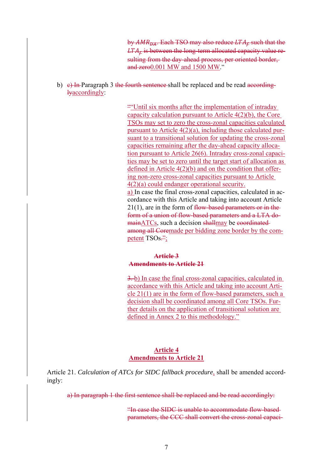by  $AMR_{\mu A}$ . Each TSO may also reduce  $LTA<sub>F</sub>$  such that the  $LTA<sub>£</sub>$  is between the long-term allocated capacity value resulting from the day-ahead process, per oriented border, and zero0.001 MW and 1500 MW."

b)  $\epsilon$ ) In-Paragraph 3 the fourth sentence shall be replaced and be read accordinglyaccordingly:

> ""Until six months after the implementation of intraday capacity calculation pursuant to Article 4(2)(b), the Core TSOs may set to zero the cross-zonal capacities calculated pursuant to Article 4(2)(a), including those calculated pursuant to a transitional solution for updating the cross-zonal capacities remaining after the day-ahead capacity allocation pursuant to Article 26(6). Intraday cross-zonal capacities may be set to zero until the target start of allocation as defined in Article 4(2)(b) and on the condition that offering non-zero cross-zonal capacities pursuant to Article 4(2)(a) could endanger operational security. a) In case the final cross-zonal capacities, calculated in accordance with this Article and taking into account Article  $21(1)$ , are in the form of flow-based parameters or in the form of a union of flow-based parameters and a LTA domainATCs, such a decision shallmay be coordinated among all Coremade per bidding zone border by the competent TSOs.";

### **Article 3 Amendments to Article 21**

3. b) In case the final cross-zonal capacities, calculated in accordance with this Article and taking into account Article 21(1) are in the form of flow-based parameters, such a decision shall be coordinated among all Core TSOs. Further details on the application of transitional solution are defined in Annex 2 to this methodology."

## **Article 4 Amendments to Article 21**

Article 21. *Calculation of ATCs for SIDC fallback procedure*, shall be amended accordingly:

a) In paragraph 1 the first sentence shall be replaced and be read accordingly:

"In case the SIDC is unable to accommodate flow-based parameters, the CCC shall convert the cross-zonal capaci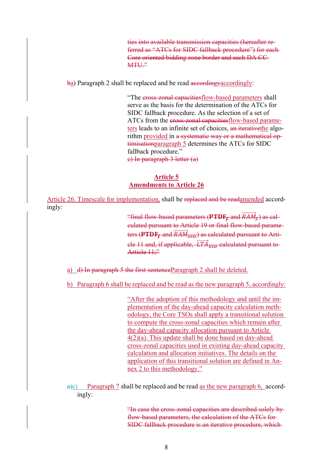ties into available transmission capacities (hereafter referred as "ATCs for SIDC fallback procedure") for each Core oriented bidding zone border and each DA CC MTU."

ba) Paragraph 2 shall be replaced and be read according water-

"The cross-zonal capacitiesflow-based parameters shall serve as the basis for the determination of the ATCs for SIDC fallback procedure. As the selection of a set of ATCs from the cross-zonal capacitiesflow-based parameters leads to an infinite set of choices, an iterative the algorithm provided in a systematic way or a mathematical optimisationparagraph 5 determines the ATCs for SIDC fallback procedure." c) In paragraph 3 letter (a)

## **Article 5 Amendments to Article 26**

Article 26. Timescale for implementation, shall be replaced and be readamended accordingly:

> "final flow-based parameters ( $\mathbf{PTDF}_f$  and  $\overrightarrow{RAM_f}$ ) as calculated pursuant to Article 19 or final flow-based paramet<del>ers (<code>PTDF</code><sub>f</sub> and  $\overrightarrow{RAM}_{\overrightarrow{UHD}}$  as calculated pursuant to Arti-</del> ele 11 and, if applicable,  $\overrightarrow{LTA}_{\mu\mu\nu}$  calculated pursuant to Article 11."

a) d) In paragraph 5 the first sentenceParagraph 2 shall be deleted.

b) Paragraph 6 shall be replaced and be read as the new paragraph 5, accordingly:

"After the adoption of this methodology and until the implementation of the day-ahead capacity calculation methodology, the Core TSOs shall apply a transitional solution to compute the cross-zonal capacities which remain after the day-ahead capacity allocation pursuant to Article 4(2)(a). This update shall be done based on day-ahead cross-zonal capacities used in existing day-ahead capacity calculation and allocation initiatives. The details on the application of this transitional solution are defined in Annex 2 to this methodology."

 $a(c)$  Paragraph 7 shall be replaced and be read as the new paragraph 6, accordingly:

> "In case the cross-zonal capacities are described solely by flow-based parameters, the calculation of the ATCs for SIDC fallback procedure is an iterative procedure, which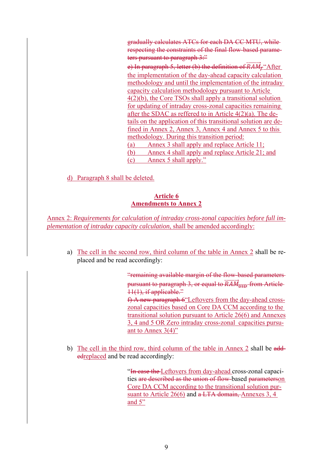gradually calculates ATCs for each DA CC MTU, while respecting the constraints of the final flow-based parameters pursuant to paragraph 3."

e) In paragraph 5, letter (b) the definition of  $\overrightarrow{RAM}_{f}$  "After the implementation of the day-ahead capacity calculation methodology and until the implementation of the intraday capacity calculation methodology pursuant to Article 4(2)(b), the Core TSOs shall apply a transitional solution for updating of intraday cross-zonal capacities remaining after the SDAC as reffered to in Article 4(2)(a). The details on the application of this transitional solution are defined in Annex 2, Annex 3, Annex 4 and Annex 5 to this methodology. During this transition period: (a) Annex 3 shall apply and replace Article 11; (b) Annex 4 shall apply and replace Article 21; and (c) Annex 5 shall apply."

d) Paragraph 8 shall be deleted.

# **Article 6 Amendments to Annex 2**

Annex 2: *Requirements for calculation of intraday cross-zonal capacities before full implementation of intraday capacity calculation*, shall be amended accordingly:

a) The cell in the second row, third column of the table in Annex 2 shall be replaced and be read accordingly:

> "remaining available margin of the flow-based parameters pursuant to paragraph 3, or equal to  $\overrightarrow{RAM}_{\overrightarrow{UHD}}$  from Article  $11(1)$ , if applicable." f) A new paragraph 6"Leftovers from the day-ahead crosszonal capacities based on Core DA CCM according to the transitional solution pursuant to Article 26(6) and Annexes 3, 4 and 5 OR Zero intraday cross-zonal capacities pursuant to Annex 3(4)"

b) The cell in the third row, third column of the table in Annex 2 shall be addedreplaced and be read accordingly:

> "In case the Leftovers from day-ahead cross-zonal capacities are described as the union of flow-based parameterson Core DA CCM according to the transitional solution pursuant to Article  $26(6)$  and  $a$  LTA domain, Annexes 3, 4 and 5"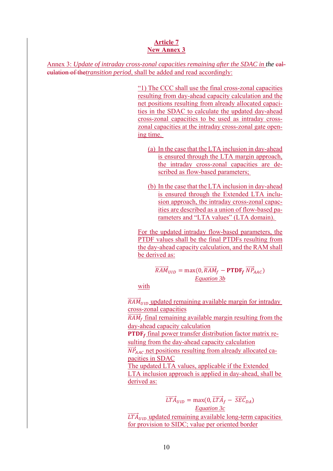## **Article 7 New Annex 3**

Annex 3: *Update of intraday cross-zonal capacities remaining after the SDAC in the eal*culation of the*transition period*, shall be added and read accordingly:

> "1) The CCC shall use the final cross-zonal capacities resulting from day-ahead capacity calculation and the net positions resulting from already allocated capacities in the SDAC to calculate the updated day-ahead cross-zonal capacities to be used as intraday crosszonal capacities at the intraday cross-zonal gate opening time.

- (a) In the case that the LTA inclusion in day-ahead is ensured through the LTA margin approach, the intraday cross-zonal capacities are described as flow-based parameters;
- (b) In the case that the LTA inclusion in day-ahead is ensured through the Extended LTA inclusion approach, the intraday cross-zonal capacities are described as a union of flow-based parameters and "LTA values" (LTA domain).

For the updated intraday flow-based parameters, the PTDF values shall be the final PTDFs resulting from the day-ahead capacity calculation, and the RAM shall be derived as:

$$
\overrightarrow{RAM}_{UID} = \max(0, \overrightarrow{RAM}_f - \text{PTDF}_f \ \overrightarrow{NP}_{AAC})
$$
  
Equation 3b

with

 $\overline{RAM}_{UID}$  updated remaining available margin for intraday cross-zonal capacities

 $\overline{RAM}_{f}$  final remaining available margin resulting from the day-ahead capacity calculation

 $PTDF_f$  final power transfer distribution factor matrix resulting from the day-ahead capacity calculation

 $\overrightarrow{NP}_{AAC}$  net positions resulting from already allocated capacities in SDAC

The updated LTA values, applicable if the Extended LTA inclusion approach is applied in day-ahead, shall be derived as:

 $\overrightarrow{LTA}_{UID} = \max(0, \overrightarrow{LTA}_{f} - \overrightarrow{SEC}_{DA})$ *Equation 3c*   $\overrightarrow{LTA}_{UID}$  updated remaining available long-term capacities for provision to SIDC; value per oriented border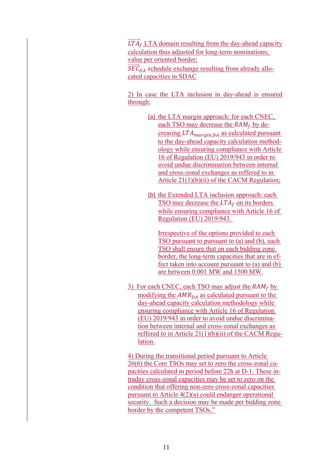$\overrightarrow{LTA}_f$  LTA domain resulting from the day-ahead capacity calculation thus adjusted for long-term nominations; value per oriented border;  $\overline{SEC}_{DA}$  schedule exchange resulting from already allocated capacities in SDAC

2) In case the LTA inclusion in day-ahead is ensured through:

> (a) the LTA margin approach: for each CNEC, each TSO may decrease the  $RAM_f$  by decreasing  $LTA_{margin, DA}$  as calculated pursuant to the day-ahead capacity calculation methodology while ensuring compliance with Article 16 of Regulation (EU) 2019/943 in order to avoid undue discrimination between internal and cross-zonal exchanges as reffered to in Article 21(1)(b)(ii) of the CACM Regulation;

(b) the Extended LTA inclusion approach: each TSO may decrease the  $LTA_f$  on its borders while ensuring compliance with Article 16 of Regulation (EU) 2019/943.

Irrespective of the options provided to each TSO pursuant to pursuant to (a) and (b), each TSO shall ensure that on each bidding zone border, the long-term capacities that are in effect taken into account pursuant to (a) and (b) are between 0.001 MW and 1500 MW.

3) For each CNEC, each TSO may adjust the  $RAM<sub>f</sub>$  by modifying the  $AMR_{DA}$  as calculated pursuant to the day-ahead capacity calculation methodology while ensuring compliance with Article 16 of Regulation (EU) 2019/943 in order to avoid undue discrimination between internal and cross-zonal exchanges as reffered to in Article  $21(1)(b)(ii)$  of the CACM Regulation.

4) During the transitional period pursuant to Article 26(6) the Core TSOs may set to zero the cross-zonal capacities calculated in period before 22h at D-1. These intraday cross-zonal capacities may be set to zero on the condition that offering non-zero cross-zonal capacities pursuant to Article 4(2)(a) could endanger operational security. Such a decision may be made per bidding zone border by the competent TSOs."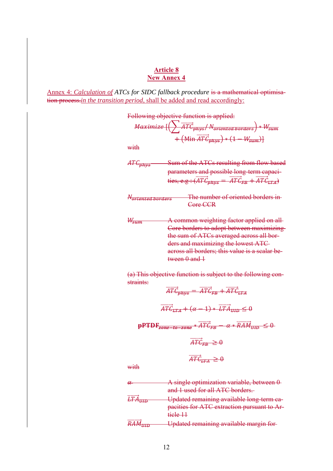# **Article 8 New Annex 4**

Annex 4: *Calculation of ATCs for SIDC fallback procedure* is a mathematical optimisation process.*in the transition period*, shall be added and read accordingly:

Following objective function is applied:  
\n
$$
Maximize \left[ \left( \sum \overline{ATG}_{phys} / N_{oriented~borderes} \right) * W_{sum} + \left( \text{Min } \overline{ATG}_{phys} \right) * \left( 1 - W_{sum} \right) \right]
$$
\nwith  
\n
$$
ATG_{phys}
$$
 Sum of the ATCs resulting from flow based  
\nparameters and possible long-term capaci-  
\nties, e.g.:  $(\overline{ATG}_{phys} = \overline{ATG}_{FB} + \overline{ATG}_{ETA})$   
\n
$$
N_{oriented~borders}
$$
 The number of oriented borders in  
\nCore CCR  
\n $W_{sum}$  A common weighting factor applied on all  
\nCore borders to adopt between maximizing  
\nthe sum of ATCs averaged across all bor-  
\nders and maximizing the lowest ATC-  
\nacross all borders; this value is a scalar be-  
\ntween 0 and 1

(a) This objective function is subject to the following constraints:  $\longrightarrow$ 

$$
\overline{ATC}_{\overline{p} \overline{R} \overline{y} \overline{s}} = \overline{ATC}_{\overline{F} \overline{B}} + \overline{ATC}_{\overline{L} \overline{T} \overline{A}}
$$
\n
$$
\overline{ATC}_{\overline{L} \overline{T} \overline{A}} + (\alpha - 1) * \overline{LTA}_{\overline{U} \overline{I} \overline{B}} \le 0
$$
\n
$$
\text{pPTDF}_{\overline{z \text{one-to-zone}}} * \overline{ATC}_{\overline{F} \overline{B}} - \alpha * \overline{R} \overline{A} \overline{M}_{\overline{U} \overline{I} \overline{B}} \le 0
$$
\n
$$
\overline{ATC}_{\overline{L} \overline{T} \overline{A}} \ge 0
$$

with

| A single optimization variable, between 0<br>and 1 used for all ATC borders.             |
|------------------------------------------------------------------------------------------|
| Updated remaining available long-term ca-<br>pacities for ATC extraction pursuant to Ar- |
| tiele 11<br>Updated remaining available margin for                                       |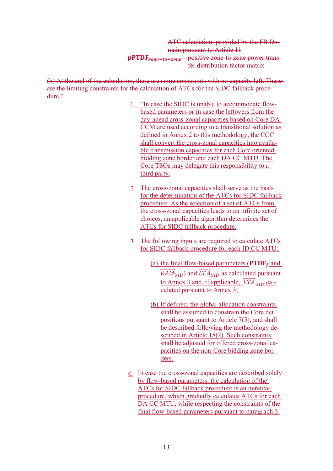ATC calculation provided by the FB Domain pursuant to Article 11 pPTDF<sub>zone-to-zone</sub> positive zone-to-zone power transfer distribution factor matrix

(b) At the end of the calculation, there are some constraints with no capacity left. These are the limiting constraints for the calculation of ATCs for the SIDC fallback procedure."

- 1. "In case the SIDC is unable to accommodate flowbased parameters or in case the leftovers from the day-ahead cross-zonal capacities based on Core DA CCM are used according to a transitional solution as defined in Annex 2 to this methodology, the CCC shall convert the cross-zonal capacities into available transmission capacities for each Core oriented bidding zone border and each DA CC MTU. The Core TSOs may delegate this responsibility to a third party.
- 2. The cross-zonal capacities shall serve as the basis for the determination of the ATCs for SIDC fallback procedure. As the selection of a set of ATCs from the cross-zonal capacities leads to an infinite set of choices, an applicable algorithm determines the ATCs for SIDC fallback procedure.
- 3. The following inputs are required to calculate ATCs for SIDC fallback procedure for each ID CC MTU:
	- (a) the final flow-based parameters ( $\mathbf{PTDF}_f$  and  $\overrightarrow{RAM}_{UID}$  and  $\overrightarrow{LTA}_{UID}$  as calculated pursuant to Annex 3 and, if applicable,  $\overrightarrow{LTA}_{UID}$  calculated pursuant to Annex 3;
	- (b) If defined, the global allocation constraints shall be assumed to constrain the Core net positions pursuant to Article 7(5), and shall be described following the methodology described in Article 18(2). Such constraints shall be adjusted for offered cross-zonal capacities on the non-Core bidding zone borders.
- In case the cross-zonal capacities are described solely by flow-based parameters, the calculation of the ATCs for SIDC fallback procedure is an iterative procedure, which gradually calculates ATCs for each DA CC MTU, while respecting the constraints of the final flow-based parameters pursuant to paragraph 3: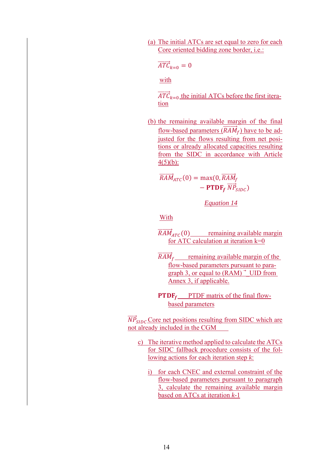(a) The initial ATCs are set equal to zero for each Core oriented bidding zone border, i.e.:

$$
\overrightarrow{ATC}_{k=0}=0
$$

with

 $\overrightarrow{ATC}_{k=0}$  the initial ATCs before the first iteration

(b) the remaining available margin of the final flow-based parameters  $(RAM_f)$  have to be adjusted for the flows resulting from net positions or already allocated capacities resulting from the SIDC in accordance with Article  $4(5)(b)$ :

$$
\overrightarrow{RAM}_{ATC}(0) = \max(0, \overrightarrow{RAM}_{f} - \text{PTDF}_{f} \overrightarrow{NP}_{SIDC})
$$

*Equation 14* 

With

- $\overline{RAM}_{ATC}(0)$  remaining available margin for ATC calculation at iteration  $k=0$
- $\overrightarrow{RAM}_{f}$  remaining available margin of the flow-based parameters pursuant to paragraph 3, or equal to  $(RAM)^{-1}$  UID from Annex 3, if applicable.
- **PTDF** matrix of the final flowbased parameters

 $\overrightarrow{NP}_{SIDC}$  Core net positions resulting from SIDC which are not already included in the CGM

- c) The iterative method applied to calculate the ATCs for SIDC fallback procedure consists of the following actions for each iteration step *k*:
	- i) for each CNEC and external constraint of the flow-based parameters pursuant to paragraph 3, calculate the remaining available margin based on ATCs at iteration *k*-1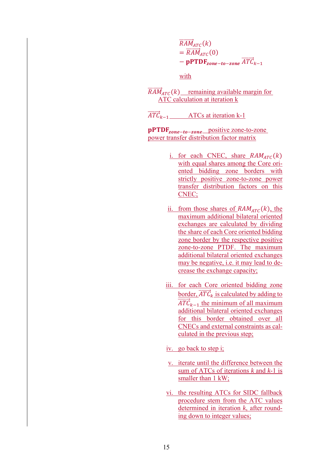$$
\overrightarrow{RAM}_{ATC}(k)
$$
  
=  $\overrightarrow{RAM}_{ATC}(0)$   
- **pPTDF**<sub>zone-to-zone</sub>  $\overrightarrow{ATC}_{k-1}$ 

with

 $\overline{RAM}_{ATC}(k)$  remaining available margin for ATC calculation at iteration k

 $\overrightarrow{ATC}_{k-1}$  ATCs at iteration k-1

pPTDF<sub>zone-to-zone</sub> positive zone-to-zone power transfer distribution factor matrix

- i. for each CNEC, share  $RAM_{ATC}(k)$ with equal shares among the Core oriented bidding zone borders with strictly positive zone-to-zone power transfer distribution factors on this CNEC;
- ii. from those shares of  $RAM_{ATC}(k)$ , the maximum additional bilateral oriented exchanges are calculated by dividing the share of each Core oriented bidding zone border by the respective positive zone-to-zone PTDF. The maximum additional bilateral oriented exchanges may be negative, i.e. it may lead to decrease the exchange capacity;
- iii. for each Core oriented bidding zone border,  $\overrightarrow{ATC}_k$  is calculated by adding to  $\overrightarrow{ATC}_{k-1}$  the minimum of all maximum additional bilateral oriented exchanges for this border obtained over all CNECs and external constraints as calculated in the previous step;
- iv. go back to step i;
- v. iterate until the difference between the sum of ATCs of iterations *k* and *k*-1 is smaller than 1 kW;
- vi. the resulting ATCs for SIDC fallback procedure stem from the ATC values determined in iteration *k*, after rounding down to integer values;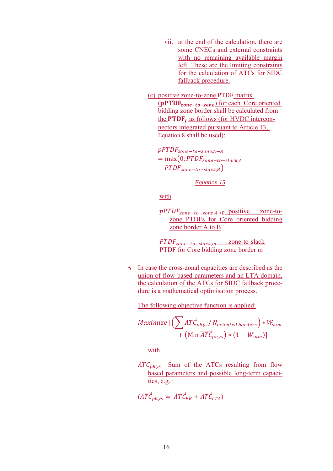- vii. at the end of the calculation, there are some CNECs and external constraints with no remaining available margin left. These are the limiting constraints for the calculation of ATCs for SIDC fallback procedure.
- (c) positive zone-to-zone PTDF matrix  $(pPTDF_{zone-to-zone})$  for each Core oriented bidding zone border shall be calculated from the **PTDF** $_f$  as follows (for HVDC interconnectors integrated pursuant to Article 13, Equation 8 shall be used):

 $pPTDF_{zone-tozone,A\rightarrow B}$  $= max(0, P T D F_{zone-to-slack,A})$  $- P T D F_{zone-to-slack,B})$ 

*Equation 15* 

with

 $pPTDF_{zone-tozone,A\rightarrow B}$  positive zone-tozone PTDFs for Core oriented bidding zone border A to B

 $PTDF_{zone-to-slack.m}$  zone-to-slack PTDF for Core bidding zone border m

In case the cross-zonal capacities are described as the union of flow-based parameters and an LTA domain, the calculation of the ATCs for SIDC fallback procedure is a mathematical optimisation process.

The following objective function is applied:

$$
Maximize \left[ \left( \sum \overrightarrow{ATC}_{phys} / N_{oriented~borders} \right) * W_{sum} + \left( \text{Min } \overrightarrow{ATC}_{phys} \right) * (1 - W_{sum}) \right]
$$

with

 $ATC<sub>phys</sub>$  Sum of the ATCs resulting from flow based parameters and possible long-term capacities, e.g. :

$$
(\overrightarrow{ATC}_{phys} = \overrightarrow{ATC}_{FB} + \overrightarrow{ATC}_{LTA})
$$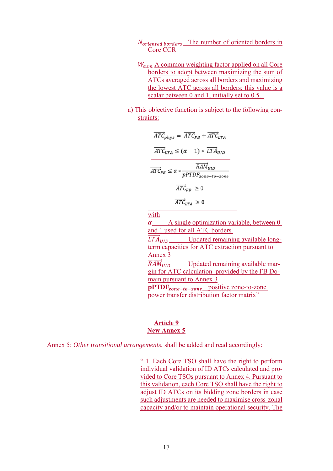- Noriented borders. The number of oriented borders in Core CCR
- $W_{sum}$  A common weighting factor applied on all Core borders to adopt between maximizing the sum of ATCs averaged across all borders and maximizing the lowest ATC across all borders; this value is a scalar between 0 and 1, initially set to 0.5.
- a) This objective function is subject to the following constraints:

$$
\overrightarrow{ATC}_{phys} = \overrightarrow{ATC}_{FB} + \overrightarrow{ATC}_{LTA}
$$
\n
$$
\overrightarrow{ATC}_{LTA} \leq (\alpha - 1) * \overrightarrow{LTA}_{UID}
$$
\n
$$
\overrightarrow{ATC}_{FB} \leq \alpha * \frac{\overrightarrow{RAM}_{UID}}{pPTDF_{zone-to-zone}}
$$
\n
$$
\overrightarrow{ATC}_{FB} \geq 0
$$
\n
$$
\overrightarrow{ATC}_{LTA} \geq 0
$$

with

 $\alpha$  A single optimization variable, between 0 and 1 used for all ATC borders

 $LT\AA$ <sub>UID</sub> Updated remaining available longterm capacities for ATC extraction pursuant to Annex 3

 $\overrightarrow{RAM}_{UID}$  Updated remaining available margin for ATC calculation provided by the FB Domain pursuant to Annex 3

pPTDF<sub>zone-to-zone</sub> positive zone-to-zone power transfer distribution factor matrix"

### **Article 9 New Annex 5**

Annex 5: *Other transitional arrangements*, shall be added and read accordingly:

 " 1. Each Core TSO shall have the right to perform individual validation of ID ATCs calculated and provided to Core TSOs pursuant to Annex 4. Pursuant to this validation, each Core TSO shall have the right to adjust ID ATCs on its bidding zone borders in case such adjustments are needed to maximise cross-zonal capacity and/or to maintain operational security. The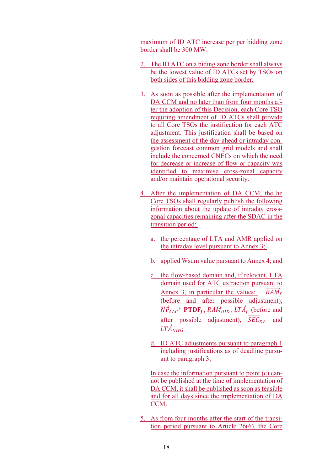maximum of ID ATC increase per per bidding zone border shall be 300 MW.

- 2. The ID ATC on a biding zone border shall always be the lowest value of ID ATCs set by TSOs on both sides of this bidding zone border.
- 3. As soon as possible after the implementation of DA CCM and no later than from four months after the adoption of this Decision, each Core TSO requiring amendment of ID ATCs shall provide to all Core TSOs the justification for each ATC adjustment. This justification shall be based on the assessment of the day-ahead or intraday congestion forecast common grid models and shall include the concerned CNECs on which the need for decrease or increase of flow or capacity was identified to maximise cross-zonal capacity and/or maintain operational security.
- 4. After the implementation of DA CCM, the he Core TSOs shall regularly publish the following information about the update of intraday crosszonal capacities remaining after the SDAC in the transition period:
	- a. the percentage of LTA and AMR applied on the intraday level pursuant to Annex 3;
	- b. applied Wsum value pursuant to Annex 4; and
	- c. the flow-based domain and, if relevant, LTA domain used for ATC extraction pursuant to Annex 3, in particular the values:  $\overrightarrow{RAM}_{f}$ (before and after possible adjustment),  $\overrightarrow{NP}_{AAC}$ <sup>\*</sup> **PTDF**<sub>f</sub> $\overrightarrow{RAM}_{UID}$ *LTA*<sub>f</sub><sub></sub> (before and after possible adjustment),  $\overrightarrow{SEC}_{DA}$  and  $\overrightarrow{LTA}_{UID\texttt{i}}$
	- d. ID ATC adjustments pursuant to paragraph 1 including justifications as of deadline pursuant to paragraph 3;

In case the information pursuant to point (c) cannot be published at the time of implementation of DA CCM, it shall be published as soon as feasible and for all days since the implementation of DA CCM.

5. As from four months after the start of the transition period pursuant to Article 26(6), the Core